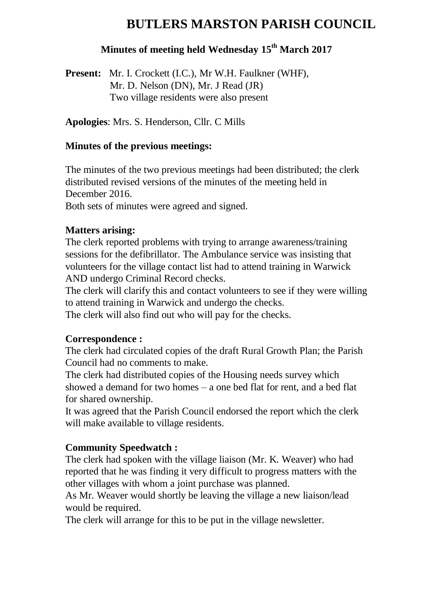# **BUTLERS MARSTON PARISH COUNCIL**

## **Minutes of meeting held Wednesday 15th March 2017**

**Present:** Mr. I. Crockett (I.C.), Mr W.H. Faulkner (WHF), Mr. D. Nelson (DN), Mr. J Read (JR) Two village residents were also present

**Apologies**: Mrs. S. Henderson, Cllr. C Mills

#### **Minutes of the previous meetings:**

The minutes of the two previous meetings had been distributed; the clerk distributed revised versions of the minutes of the meeting held in December 2016. Both sets of minutes were agreed and signed.

#### **Matters arising:**

The clerk reported problems with trying to arrange awareness/training sessions for the defibrillator. The Ambulance service was insisting that volunteers for the village contact list had to attend training in Warwick AND undergo Criminal Record checks.

The clerk will clarify this and contact volunteers to see if they were willing to attend training in Warwick and undergo the checks.

The clerk will also find out who will pay for the checks.

### **Correspondence :**

The clerk had circulated copies of the draft Rural Growth Plan; the Parish Council had no comments to make.

The clerk had distributed copies of the Housing needs survey which showed a demand for two homes – a one bed flat for rent, and a bed flat for shared ownership.

It was agreed that the Parish Council endorsed the report which the clerk will make available to village residents.

### **Community Speedwatch :**

The clerk had spoken with the village liaison (Mr. K. Weaver) who had reported that he was finding it very difficult to progress matters with the other villages with whom a joint purchase was planned.

As Mr. Weaver would shortly be leaving the village a new liaison/lead would be required.

The clerk will arrange for this to be put in the village newsletter.